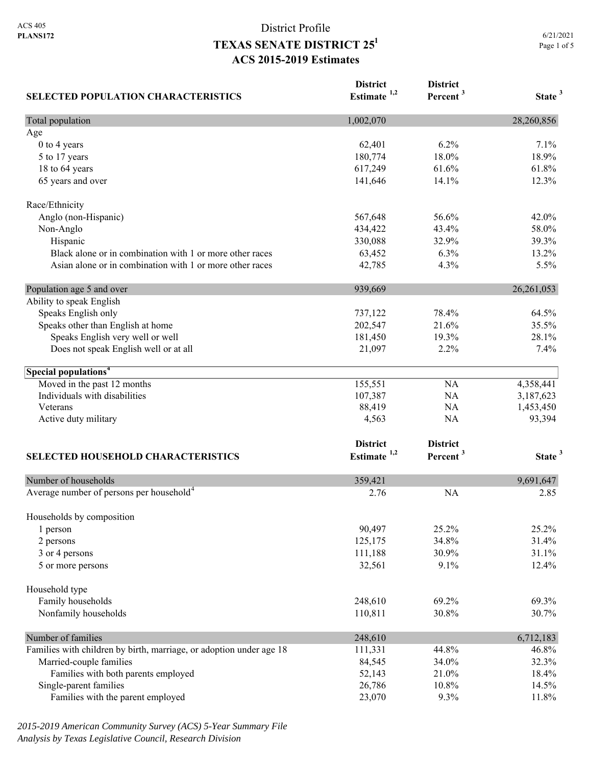| <b>SELECTED POPULATION CHARACTERISTICS</b>                          | <b>District</b><br>Estimate $1,2$ | <b>District</b><br>Percent <sup>3</sup> | State <sup>3</sup> |
|---------------------------------------------------------------------|-----------------------------------|-----------------------------------------|--------------------|
| Total population                                                    | 1,002,070                         |                                         | 28,260,856         |
| Age                                                                 |                                   |                                         |                    |
| 0 to 4 years                                                        | 62,401                            | 6.2%                                    | 7.1%               |
| 5 to 17 years                                                       | 180,774                           | 18.0%                                   | 18.9%              |
| 18 to 64 years                                                      | 617,249                           | 61.6%                                   | 61.8%              |
| 65 years and over                                                   | 141,646                           | 14.1%                                   | 12.3%              |
| Race/Ethnicity                                                      |                                   |                                         |                    |
| Anglo (non-Hispanic)                                                | 567,648                           | 56.6%                                   | 42.0%              |
| Non-Anglo                                                           | 434,422                           | 43.4%                                   | 58.0%              |
| Hispanic                                                            | 330,088                           | 32.9%                                   | 39.3%              |
| Black alone or in combination with 1 or more other races            | 63,452                            | 6.3%                                    | 13.2%              |
| Asian alone or in combination with 1 or more other races            | 42,785                            | 4.3%                                    | 5.5%               |
| Population age 5 and over                                           | 939,669                           |                                         | 26, 261, 053       |
| Ability to speak English                                            |                                   |                                         |                    |
| Speaks English only                                                 | 737,122                           | 78.4%                                   | 64.5%              |
| Speaks other than English at home                                   | 202,547                           | 21.6%                                   | 35.5%              |
| Speaks English very well or well                                    | 181,450                           | 19.3%                                   | 28.1%              |
| Does not speak English well or at all                               | 21,097                            | 2.2%                                    | 7.4%               |
| Special populations <sup>4</sup>                                    |                                   |                                         |                    |
| Moved in the past 12 months                                         | 155,551                           | NA                                      | 4,358,441          |
| Individuals with disabilities                                       | 107,387                           | NA                                      | 3,187,623          |
| Veterans                                                            | 88,419                            | NA                                      | 1,453,450          |
| Active duty military                                                | 4,563                             | NA                                      | 93,394             |
|                                                                     | <b>District</b>                   | <b>District</b>                         |                    |
| SELECTED HOUSEHOLD CHARACTERISTICS                                  | Estimate $1,2$                    | Percent <sup>3</sup>                    | State <sup>3</sup> |
| Number of households                                                | 359,421                           |                                         | 9,691,647          |
| Average number of persons per household <sup>4</sup>                | 2.76                              | <b>NA</b>                               | 2.85               |
|                                                                     |                                   |                                         |                    |
| Households by composition<br>1 person                               | 90,497                            | 25.2%                                   | 25.2%              |
| 2 persons                                                           | 125,175                           | 34.8%                                   | 31.4%              |
| 3 or 4 persons                                                      | 111,188                           | 30.9%                                   | 31.1%              |
| 5 or more persons                                                   | 32,561                            | 9.1%                                    | 12.4%              |
| Household type                                                      |                                   |                                         |                    |
| Family households                                                   | 248,610                           | 69.2%                                   | 69.3%              |
|                                                                     |                                   | 30.8%                                   | 30.7%              |
| Nonfamily households                                                | 110,811                           |                                         |                    |
| Number of families                                                  | 248,610                           |                                         | 6,712,183          |
| Families with children by birth, marriage, or adoption under age 18 | 111,331                           | 44.8%                                   | 46.8%              |
| Married-couple families                                             | 84,545                            | 34.0%                                   | 32.3%              |
| Families with both parents employed                                 | 52,143                            | 21.0%                                   | 18.4%              |
| Single-parent families                                              | 26,786                            | 10.8%                                   | 14.5%              |
| Families with the parent employed                                   | 23,070                            | 9.3%                                    | 11.8%              |

*2015-2019 American Community Survey (ACS) 5-Year Summary File Analysis by Texas Legislative Council, Research Division*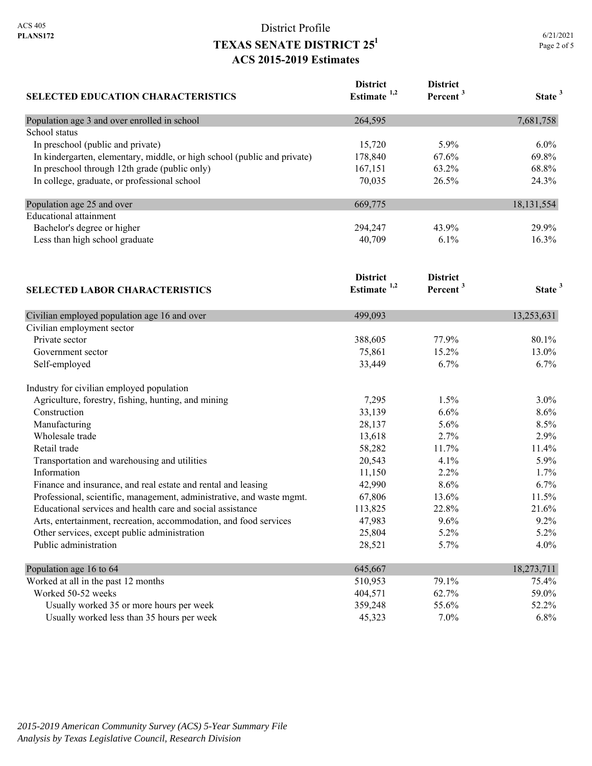| 6/21/2021   |  |
|-------------|--|
| Page 2 of 5 |  |

| <b>SELECTED EDUCATION CHARACTERISTICS</b>                                | <b>District</b><br>Estimate <sup>1,2</sup> | <b>District</b><br>Percent <sup>3</sup> | State <sup>3</sup> |
|--------------------------------------------------------------------------|--------------------------------------------|-----------------------------------------|--------------------|
| Population age 3 and over enrolled in school                             | 264,595                                    |                                         | 7,681,758          |
| School status                                                            |                                            |                                         |                    |
| In preschool (public and private)                                        | 15,720                                     | 5.9%                                    | 6.0%               |
| In kindergarten, elementary, middle, or high school (public and private) | 178,840                                    | 67.6%                                   | 69.8%              |
| In preschool through 12th grade (public only)                            | 167,151                                    | 63.2%                                   | 68.8%              |
| In college, graduate, or professional school                             | 70,035                                     | 26.5%                                   | 24.3%              |
| Population age 25 and over                                               | 669,775                                    |                                         | 18, 131, 554       |
| <b>Educational</b> attainment                                            |                                            |                                         |                    |
| Bachelor's degree or higher                                              | 294,247                                    | 43.9%                                   | 29.9%              |
| Less than high school graduate                                           | 40,709                                     | 6.1%                                    | 16.3%              |
|                                                                          | <b>District</b>                            | <b>District</b>                         |                    |
| <b>SELECTED LABOR CHARACTERISTICS</b>                                    | Estimate <sup>1,2</sup>                    | Percent <sup>3</sup>                    | State <sup>3</sup> |
| Civilian employed population age 16 and over                             | 499,093                                    |                                         | 13,253,631         |
| Civilian employment sector                                               |                                            |                                         |                    |
| Private sector                                                           | 388,605                                    | 77.9%                                   | 80.1%              |
| Government sector                                                        | 75,861                                     | 15.2%                                   | 13.0%              |
| Self-employed                                                            | 33,449                                     | 6.7%                                    | 6.7%               |
| Industry for civilian employed population                                |                                            |                                         |                    |
| Agriculture, forestry, fishing, hunting, and mining                      | 7,295                                      | 1.5%                                    | 3.0%               |
| Construction                                                             | 33,139                                     | 6.6%                                    | 8.6%               |
| Manufacturing                                                            | 28,137                                     | 5.6%                                    | 8.5%               |
| Wholesale trade                                                          | 13,618                                     | 2.7%                                    | 2.9%               |
| Retail trade                                                             | 58,282                                     | 11.7%                                   | 11.4%              |
| Transportation and warehousing and utilities                             | 20,543                                     | 4.1%                                    | 5.9%               |
| Information                                                              | 11,150                                     | 2.2%                                    | 1.7%               |
| Finance and insurance, and real estate and rental and leasing            | 42,990                                     | 8.6%                                    | 6.7%               |
| Professional, scientific, management, administrative, and waste mgmt.    | 67,806                                     | 13.6%                                   | 11.5%              |
| Educational services and health care and social assistance               | 113,825                                    | 22.8%                                   | 21.6%              |
| Arts, entertainment, recreation, accommodation, and food services        | 47,983                                     | 9.6%                                    | 9.2%               |
| Other services, except public administration                             | 25,804                                     | 5.2%                                    | 5.2%               |
| Public administration                                                    | 28,521                                     | 5.7%                                    | 4.0%               |
| Population age 16 to 64                                                  | 645,667                                    |                                         | 18,273,711         |
| Worked at all in the past 12 months                                      | 510,953                                    | 79.1%                                   | 75.4%              |
| Worked 50-52 weeks                                                       | 404,571                                    | 62.7%                                   | 59.0%              |
| Usually worked 35 or more hours per week                                 | 359,248                                    | 55.6%                                   | 52.2%              |
| Usually worked less than 35 hours per week                               | 45,323                                     | 7.0%                                    | 6.8%               |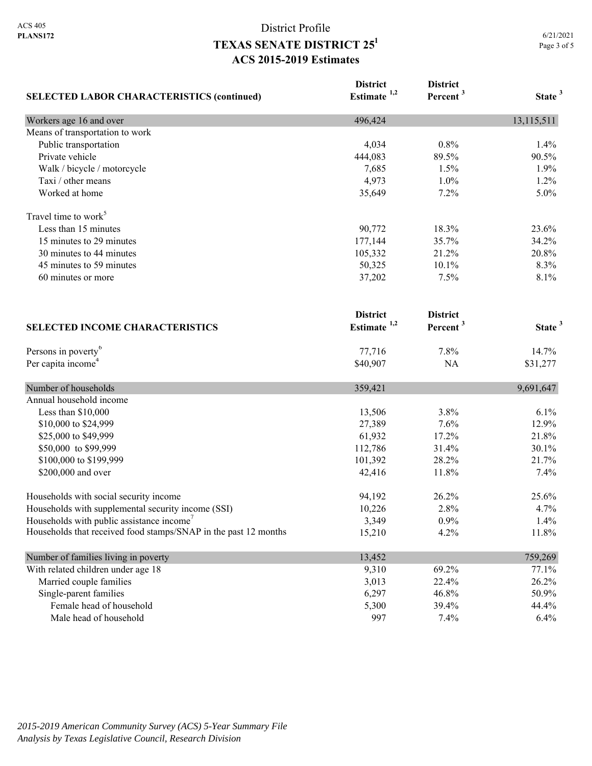| <b>SELECTED LABOR CHARACTERISTICS (continued)</b>               | <b>District</b><br>Estimate $1,2$ | <b>District</b><br>Percent <sup>3</sup> | State <sup>3</sup> |
|-----------------------------------------------------------------|-----------------------------------|-----------------------------------------|--------------------|
|                                                                 |                                   |                                         |                    |
| Workers age 16 and over                                         | 496,424                           |                                         | 13,115,511         |
| Means of transportation to work                                 |                                   |                                         |                    |
| Public transportation                                           | 4,034                             | 0.8%                                    | 1.4%               |
| Private vehicle                                                 | 444,083                           | 89.5%                                   | 90.5%              |
| Walk / bicycle / motorcycle                                     | 7,685                             | 1.5%                                    | 1.9%               |
| Taxi / other means                                              | 4,973                             | 1.0%                                    | 1.2%               |
| Worked at home                                                  | 35,649                            | 7.2%                                    | 5.0%               |
| Travel time to work <sup>5</sup>                                |                                   |                                         |                    |
| Less than 15 minutes                                            | 90,772                            | 18.3%                                   | 23.6%              |
| 15 minutes to 29 minutes                                        | 177,144                           | 35.7%                                   | 34.2%              |
| 30 minutes to 44 minutes                                        | 105,332                           | 21.2%                                   | 20.8%              |
| 45 minutes to 59 minutes                                        | 50,325                            | 10.1%                                   | 8.3%               |
| 60 minutes or more                                              | 37,202                            | 7.5%                                    | 8.1%               |
|                                                                 | <b>District</b>                   | <b>District</b>                         |                    |
| <b>SELECTED INCOME CHARACTERISTICS</b>                          | Estimate $1,2$                    | Percent <sup>3</sup>                    | State <sup>3</sup> |
| Persons in poverty <sup>6</sup>                                 | 77,716                            | 7.8%                                    | 14.7%              |
| Per capita income <sup>4</sup>                                  | \$40,907                          | NA                                      | \$31,277           |
| Number of households                                            | 359,421                           |                                         | 9,691,647          |
| Annual household income                                         |                                   |                                         |                    |
| Less than \$10,000                                              | 13,506                            | 3.8%                                    | 6.1%               |
| \$10,000 to \$24,999                                            | 27,389                            | 7.6%                                    | 12.9%              |
| \$25,000 to \$49,999                                            | 61,932                            | 17.2%                                   | 21.8%              |
| \$50,000 to \$99,999                                            | 112,786                           | 31.4%                                   | 30.1%              |
| \$100,000 to \$199,999                                          | 101,392                           | 28.2%                                   | 21.7%              |
| \$200,000 and over                                              | 42,416                            | 11.8%                                   | 7.4%               |
| Households with social security income                          | 94,192                            | 26.2%                                   | 25.6%              |
| Households with supplemental security income (SSI)              | 10,226                            | 2.8%                                    | 4.7%               |
| Households with public assistance income'                       | 3,349                             | 0.9%                                    | 1.4%               |
| Households that received food stamps/SNAP in the past 12 months | 15,210                            | 4.2%                                    | 11.8%              |
| Number of families living in poverty                            | 13,452                            |                                         | 759,269            |
| With related children under age 18                              | 9,310                             | 69.2%                                   | 77.1%              |
| Married couple families                                         | 3,013                             | 22.4%                                   | 26.2%              |
| Single-parent families                                          | 6,297                             | 46.8%                                   | 50.9%              |
| Female head of household                                        | 5,300                             | 39.4%                                   | 44.4%              |
| Male head of household                                          | 997                               | 7.4%                                    | 6.4%               |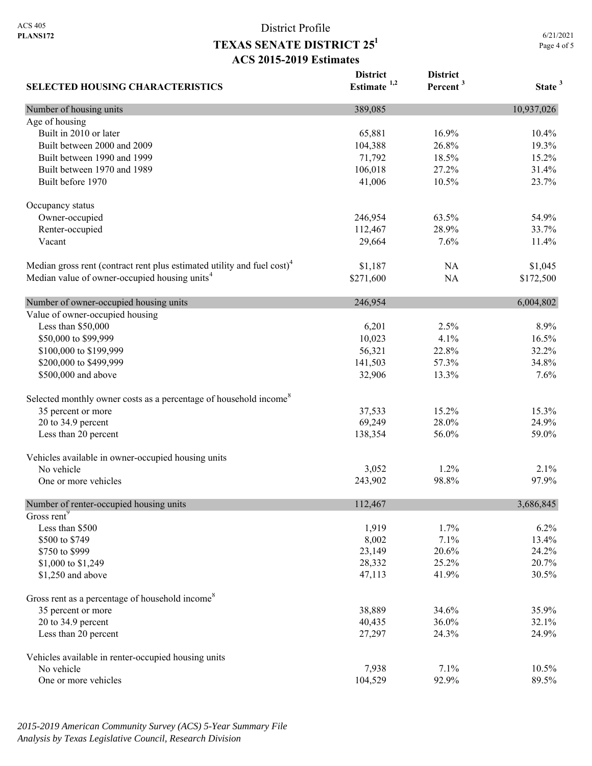6/21/2021 Page 4 of 5

| <b>SELECTED HOUSING CHARACTERISTICS</b>                                             | <b>District</b><br>Estimate $1,2$ | <b>District</b><br>Percent <sup>3</sup> | State <sup>3</sup> |
|-------------------------------------------------------------------------------------|-----------------------------------|-----------------------------------------|--------------------|
| Number of housing units                                                             | 389,085                           |                                         | 10,937,026         |
| Age of housing                                                                      |                                   |                                         |                    |
| Built in 2010 or later                                                              | 65,881                            | 16.9%                                   | 10.4%              |
| Built between 2000 and 2009                                                         | 104,388                           | 26.8%                                   | 19.3%              |
| Built between 1990 and 1999                                                         | 71,792                            | 18.5%                                   | 15.2%              |
| Built between 1970 and 1989                                                         | 106,018                           | 27.2%                                   | 31.4%              |
| Built before 1970                                                                   | 41,006                            | 10.5%                                   | 23.7%              |
| Occupancy status                                                                    |                                   |                                         |                    |
| Owner-occupied                                                                      | 246,954                           | 63.5%                                   | 54.9%              |
| Renter-occupied                                                                     | 112,467                           | 28.9%                                   | 33.7%              |
| Vacant                                                                              | 29,664                            | 7.6%                                    | 11.4%              |
| Median gross rent (contract rent plus estimated utility and fuel cost) <sup>4</sup> | \$1,187                           | NA                                      | \$1,045            |
| Median value of owner-occupied housing units <sup>4</sup>                           | \$271,600                         | <b>NA</b>                               | \$172,500          |
| Number of owner-occupied housing units                                              | 246,954                           |                                         | 6,004,802          |
| Value of owner-occupied housing                                                     |                                   |                                         |                    |
| Less than \$50,000                                                                  | 6,201                             | 2.5%                                    | 8.9%               |
| \$50,000 to \$99,999                                                                | 10,023                            | 4.1%                                    | 16.5%              |
| \$100,000 to \$199,999                                                              | 56,321                            | 22.8%                                   | 32.2%              |
| \$200,000 to \$499,999                                                              | 141,503                           | 57.3%                                   | 34.8%              |
| \$500,000 and above                                                                 | 32,906                            | 13.3%                                   | 7.6%               |
| Selected monthly owner costs as a percentage of household income <sup>8</sup>       |                                   |                                         |                    |
| 35 percent or more                                                                  | 37,533                            | 15.2%                                   | 15.3%              |
| 20 to 34.9 percent                                                                  | 69,249                            | 28.0%                                   | 24.9%              |
| Less than 20 percent                                                                | 138,354                           | 56.0%                                   | 59.0%              |
| Vehicles available in owner-occupied housing units                                  |                                   |                                         |                    |
| No vehicle                                                                          | 3,052                             | 1.2%                                    | 2.1%               |
| One or more vehicles                                                                | 243,902                           | 98.8%                                   | 97.9%              |
| Number of renter-occupied housing units                                             | 112,467                           |                                         | 3,686,845          |
| Gross rent <sup>9</sup>                                                             |                                   |                                         |                    |
| Less than \$500                                                                     | 1,919                             | 1.7%                                    | 6.2%               |
| \$500 to \$749                                                                      | 8,002                             | 7.1%                                    | 13.4%              |
| \$750 to \$999                                                                      | 23,149                            | 20.6%                                   | 24.2%              |
| \$1,000 to \$1,249                                                                  | 28,332                            | 25.2%                                   | 20.7%              |
| \$1,250 and above                                                                   | 47,113                            | 41.9%                                   | 30.5%              |
| Gross rent as a percentage of household income <sup>8</sup>                         |                                   |                                         |                    |
| 35 percent or more                                                                  | 38,889                            | 34.6%                                   | 35.9%              |
| 20 to 34.9 percent                                                                  | 40,435                            | 36.0%                                   | 32.1%              |
| Less than 20 percent                                                                | 27,297                            | 24.3%                                   | 24.9%              |
| Vehicles available in renter-occupied housing units                                 |                                   |                                         |                    |
| No vehicle                                                                          | 7,938                             | 7.1%                                    | 10.5%              |
| One or more vehicles                                                                | 104,529                           | 92.9%                                   | 89.5%              |